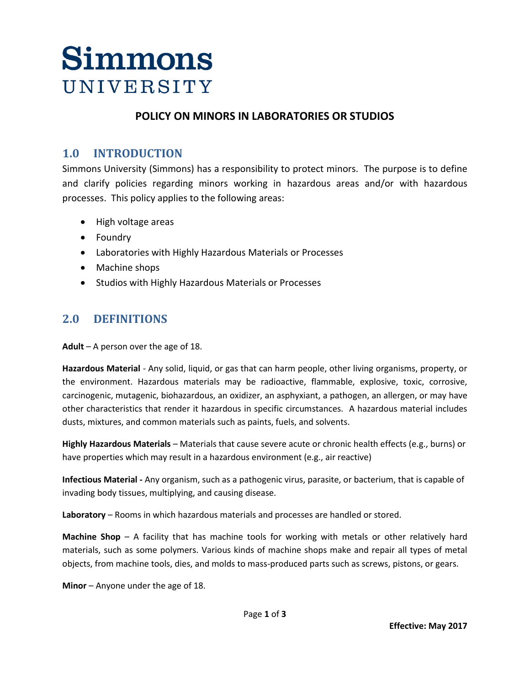### **POLICY ON MINORS IN LABORATORIES OR STUDIOS**

## **1.0 INTRODUCTION**

Simmons University (Simmons) has a responsibility to protect minors. The purpose is to define and clarify policies regarding minors working in hazardous areas and/or with hazardous processes. This policy applies to the following areas:

- High voltage areas
- Foundry
- Laboratories with Highly Hazardous Materials or Processes
- Machine shops
- Studios with Highly Hazardous Materials or Processes

### **2.0 DEFINITIONS**

**Adult** – A person over the age of 18.

**Hazardous Material** - Any solid, liquid, or gas that can harm people, other living organisms, property, or the environment. Hazardous materials may be radioactive, flammable, explosive, toxic, corrosive, carcinogenic, mutagenic, biohazardous, an oxidizer, an asphyxiant, a pathogen, an allergen, or may have other characteristics that render it hazardous in specific circumstances. A hazardous material includes dusts, mixtures, and common materials such as paints, fuels, and solvents.

**Highly Hazardous Materials** – Materials that cause severe acute or chronic health effects (e.g., burns) or have properties which may result in a hazardous environment (e.g., air reactive)

**Infectious Material -** Any organism, such as a pathogenic virus, parasite, or bacterium, that is capable of invading body tissues, multiplying, and causing disease.

**Laboratory** – Rooms in which hazardous materials and processes are handled or stored.

**Machine Shop** – A facility that has machine tools for working with metals or other relatively hard materials, such as some polymers. Various kinds of machine shops make and repair all types of metal objects, from machine tools, dies, and molds to mass-produced parts such as screws, pistons, or gears.

**Minor** – Anyone under the age of 18.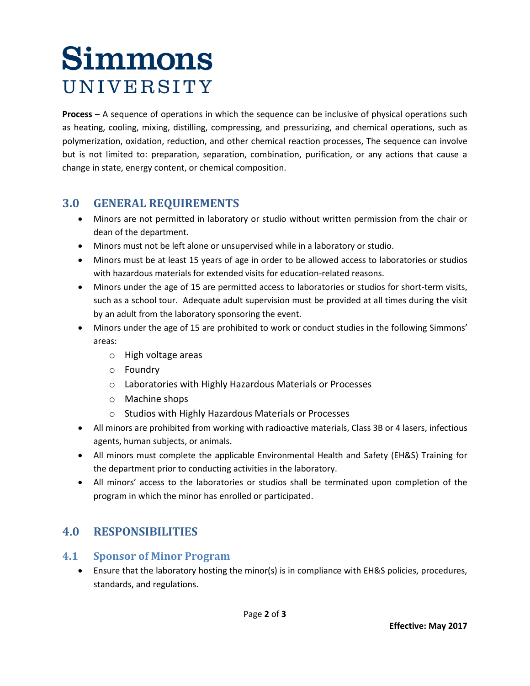**Process** – A sequence of operations in which the sequence can be inclusive of physical operations such as heating, cooling, mixing, distilling, compressing, and pressurizing, and chemical operations, such as polymerization, oxidation, reduction, and other chemical reaction processes, The sequence can involve but is not limited to: preparation, separation, combination, purification, or any actions that cause a change in state, energy content, or chemical composition.

## **3.0 GENERAL REQUIREMENTS**

- Minors are not permitted in laboratory or studio without written permission from the chair or dean of the department.
- Minors must not be left alone or unsupervised while in a laboratory or studio.
- Minors must be at least 15 years of age in order to be allowed access to laboratories or studios with hazardous materials for extended visits for education-related reasons.
- Minors under the age of 15 are permitted access to laboratories or studios for short-term visits, such as a school tour. Adequate adult supervision must be provided at all times during the visit by an adult from the laboratory sponsoring the event.
- Minors under the age of 15 are prohibited to work or conduct studies in the following Simmons' areas:
	- o High voltage areas
	- o Foundry
	- o Laboratories with Highly Hazardous Materials or Processes
	- o Machine shops
	- o Studios with Highly Hazardous Materials or Processes
- All minors are prohibited from working with radioactive materials, Class 3B or 4 lasers, infectious agents, human subjects, or animals.
- All minors must complete the applicable Environmental Health and Safety (EH&S) Training for the department prior to conducting activities in the laboratory.
- All minors' access to the laboratories or studios shall be terminated upon completion of the program in which the minor has enrolled or participated.

## **4.0 RESPONSIBILITIES**

### **4.1 Sponsor of Minor Program**

• Ensure that the laboratory hosting the minor(s) is in compliance with EH&S policies, procedures, standards, and regulations.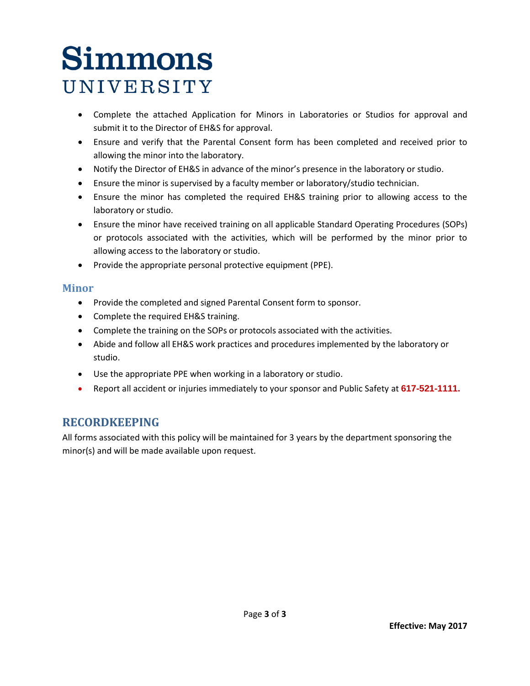- Complete the attached Application for Minors in Laboratories or Studios for approval and submit it to the Director of EH&S for approval.
- Ensure and verify that the Parental Consent form has been completed and received prior to allowing the minor into the laboratory.
- Notify the Director of EH&S in advance of the minor's presence in the laboratory or studio.
- Ensure the minor is supervised by a faculty member or laboratory/studio technician.
- Ensure the minor has completed the required EH&S training prior to allowing access to the laboratory or studio.
- Ensure the minor have received training on all applicable Standard Operating Procedures (SOPs) or protocols associated with the activities, which will be performed by the minor prior to allowing access to the laboratory or studio.
- Provide the appropriate personal protective equipment (PPE).

### **Minor**

- Provide the completed and signed Parental Consent form to sponsor.
- Complete the required EH&S training.
- Complete the training on the SOPs or protocols associated with the activities.
- Abide and follow all EH&S work practices and procedures implemented by the laboratory or studio.
- Use the appropriate PPE when working in a laboratory or studio.
- Report all accident or injuries immediately to your sponsor and Public Safety at **617-521-1111.**

## **RECORDKEEPING**

All forms associated with this policy will be maintained for 3 years by the department sponsoring the minor(s) and will be made available upon request.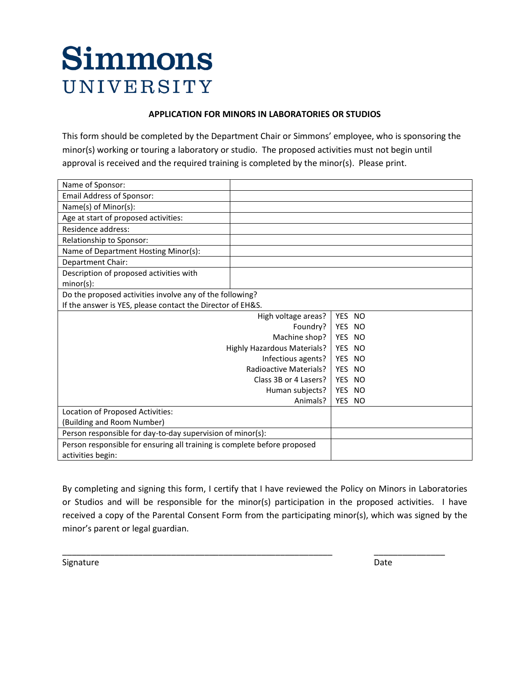### **APPLICATION FOR MINORS IN LABORATORIES OR STUDIOS**

This form should be completed by the Department Chair or Simmons' employee, who is sponsoring the minor(s) working or touring a laboratory or studio. The proposed activities must not begin until approval is received and the required training is completed by the minor(s). Please print.

| Name of Sponsor:                                                         |                     |        |  |
|--------------------------------------------------------------------------|---------------------|--------|--|
| <b>Email Address of Sponsor:</b>                                         |                     |        |  |
| Name(s) of Minor(s):                                                     |                     |        |  |
| Age at start of proposed activities:                                     |                     |        |  |
| Residence address:                                                       |                     |        |  |
| Relationship to Sponsor:                                                 |                     |        |  |
| Name of Department Hosting Minor(s):                                     |                     |        |  |
| Department Chair:                                                        |                     |        |  |
| Description of proposed activities with<br>$minor(s)$ :                  |                     |        |  |
| Do the proposed activities involve any of the following?                 |                     |        |  |
| If the answer is YES, please contact the Director of EH&S.               |                     |        |  |
|                                                                          | High voltage areas? | YES NO |  |
|                                                                          | Foundry?            | YES NO |  |
| Machine shop?                                                            |                     | YES NO |  |
| Highly Hazardous Materials?                                              |                     | YES NO |  |
| Infectious agents?                                                       |                     | YES NO |  |
| <b>Radioactive Materials?</b>                                            |                     | YES NO |  |
| Class 3B or 4 Lasers?                                                    |                     | YES NO |  |
| Human subjects?                                                          |                     | YES NO |  |
|                                                                          | Animals?            | YES NO |  |
| Location of Proposed Activities:                                         |                     |        |  |
| (Building and Room Number)                                               |                     |        |  |
| Person responsible for day-to-day supervision of minor(s):               |                     |        |  |
| Person responsible for ensuring all training is complete before proposed |                     |        |  |
| activities begin:                                                        |                     |        |  |

By completing and signing this form, I certify that I have reviewed the Policy on Minors in Laboratories or Studios and will be responsible for the minor(s) participation in the proposed activities. I have received a copy of the Parental Consent Form from the participating minor(s), which was signed by the minor's parent or legal guardian.

\_\_\_\_\_\_\_\_\_\_\_\_\_\_\_\_\_\_\_\_\_\_\_\_\_\_\_\_\_\_\_\_\_\_\_\_\_\_\_\_\_\_\_\_\_\_\_\_\_\_\_\_\_\_\_\_\_ \_\_\_\_\_\_\_\_\_\_\_\_\_\_\_

Signature Date Date of the Date of the Date of the Date of the Date of the Date of the Date of the Date of the Date of the Date of the Date of the Date of the Date of the Date of the Date of the Date of the Date of the Dat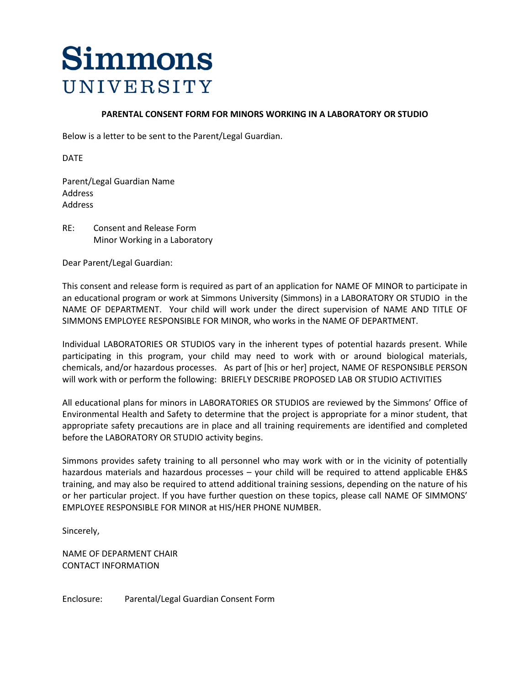#### **PARENTAL CONSENT FORM FOR MINORS WORKING IN A LABORATORY OR STUDIO**

Below is a letter to be sent to the Parent/Legal Guardian.

DATE

Parent/Legal Guardian Name Address Address

RE: Consent and Release Form Minor Working in a Laboratory

Dear Parent/Legal Guardian:

This consent and release form is required as part of an application for NAME OF MINOR to participate in an educational program or work at Simmons University (Simmons) in a LABORATORY OR STUDIO in the NAME OF DEPARTMENT. Your child will work under the direct supervision of NAME AND TITLE OF SIMMONS EMPLOYEE RESPONSIBLE FOR MINOR, who works in the NAME OF DEPARTMENT.

Individual LABORATORIES OR STUDIOS vary in the inherent types of potential hazards present. While participating in this program, your child may need to work with or around biological materials, chemicals, and/or hazardous processes. As part of [his or her] project, NAME OF RESPONSIBLE PERSON will work with or perform the following: BRIEFLY DESCRIBE PROPOSED LAB OR STUDIO ACTIVITIES

All educational plans for minors in LABORATORIES OR STUDIOS are reviewed by the Simmons' Office of Environmental Health and Safety to determine that the project is appropriate for a minor student, that appropriate safety precautions are in place and all training requirements are identified and completed before the LABORATORY OR STUDIO activity begins.

Simmons provides safety training to all personnel who may work with or in the vicinity of potentially hazardous materials and hazardous processes – your child will be required to attend applicable EH&S training, and may also be required to attend additional training sessions, depending on the nature of his or her particular project. If you have further question on these topics, please call NAME OF SIMMONS' EMPLOYEE RESPONSIBLE FOR MINOR at HIS/HER PHONE NUMBER.

Sincerely,

NAME OF DEPARMENT CHAIR CONTACT INFORMATION

Enclosure: Parental/Legal Guardian Consent Form